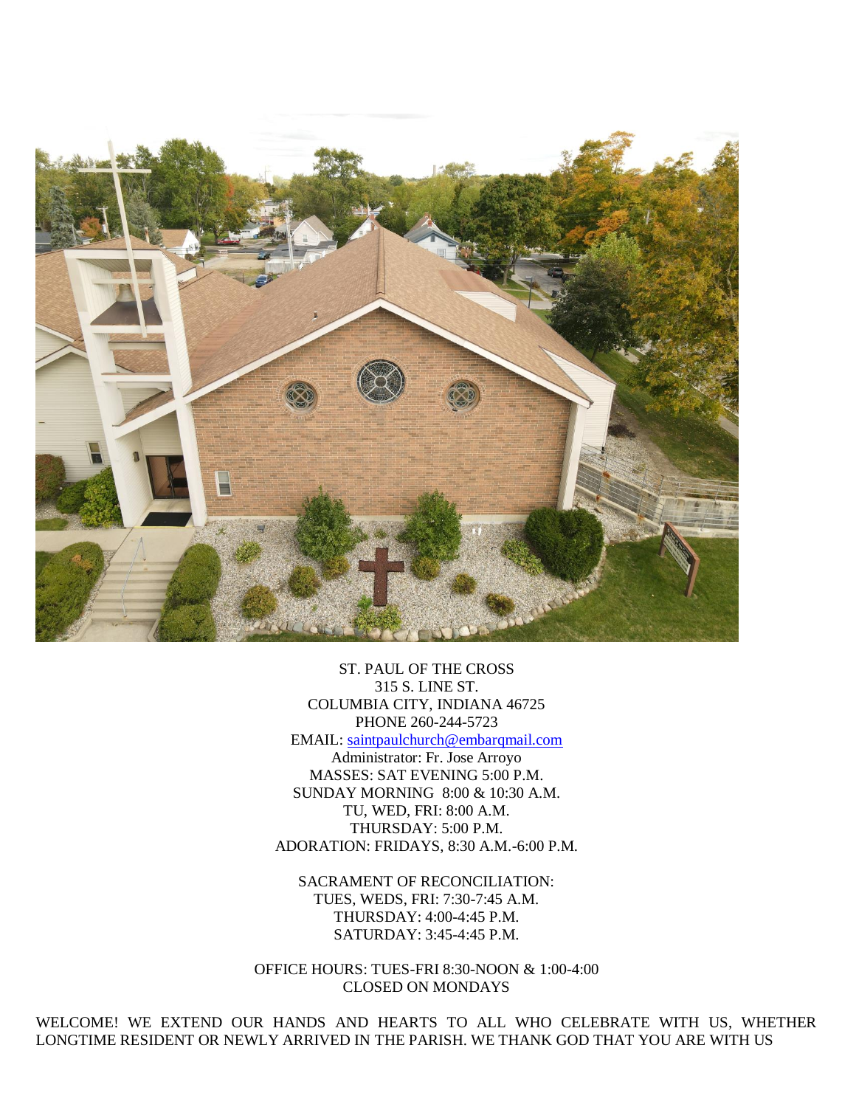

ST. PAUL OF THE CROSS 315 S. LINE ST. COLUMBIA CITY, INDIANA 46725 PHONE 260-244-5723 EMAIL: [saintpaulchurch@embarqmail.com](mailto:saintpaulchurch@embarqmail.com) Administrator: Fr. Jose Arroyo MASSES: SAT EVENING 5:00 P.M. SUNDAY MORNING 8:00 & 10:30 A.M. TU, WED, FRI: 8:00 A.M.

THURSDAY: 5:00 P.M. ADORATION: FRIDAYS, 8:30 A.M.-6:00 P.M.

SACRAMENT OF RECONCILIATION: TUES, WEDS, FRI: 7:30-7:45 A.M. THURSDAY: 4:00-4:45 P.M. SATURDAY: 3:45-4:45 P.M.

OFFICE HOURS: TUES-FRI 8:30-NOON & 1:00-4:00 CLOSED ON MONDAYS

WELCOME! WE EXTEND OUR HANDS AND HEARTS TO ALL WHO CELEBRATE WITH US, WHETHER LONGTIME RESIDENT OR NEWLY ARRIVED IN THE PARISH. WE THANK GOD THAT YOU ARE WITH US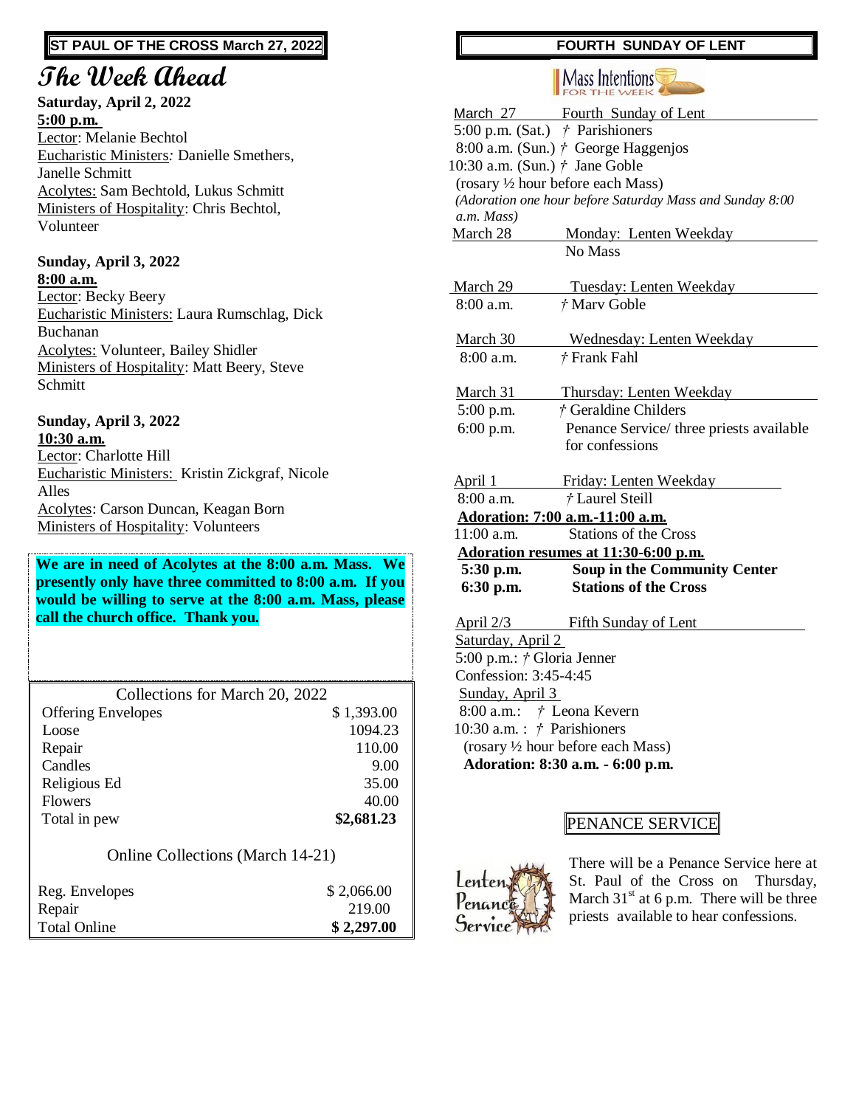### **ST PAUL OF THE CROSS March 27, 2022**

## **The Week Ahead**

**Saturday, April 2, 2022 5:00 p.m.** Lector: Melanie Bechtol Eucharistic Ministers*:* Danielle Smethers, Janelle Schmitt Acolytes: Sam Bechtold, Lukus Schmitt Ministers of Hospitality: Chris Bechtol, Volunteer

#### **Sunday, April 3, 2022 8:00 a.m.**

Lector: Becky Beery Eucharistic Ministers: Laura Rumschlag, Dick Buchanan Acolytes: Volunteer, Bailey Shidler Ministers of Hospitality: Matt Beery, Steve Schmitt

### **Sunday, April 3, 2022 10:30 a.m.** Lector: Charlotte Hill Eucharistic Ministers: Kristin Zickgraf, Nicole Alles

Acolytes: Carson Duncan, Keagan Born Ministers of Hospitality: Volunteers

### **We are in need of Acolytes at the 8:00 a.m. Mass. We presently only have three committed to 8:00 a.m. If you would be willing to serve at the 8:00 a.m. Mass, please call the church office. Thank you.**

| Collections for March 20, 2022 |            |
|--------------------------------|------------|
| <b>Offering Envelopes</b>      | \$1,393.00 |
| Loose                          | 1094.23    |
| Repair                         | 110.00     |
| Candles                        | 9.00       |
| Religious Ed                   | 35.00      |
| <b>Flowers</b>                 | 40.00      |
| Total in pew                   | \$2,681.23 |

### Online Collections (March 14-21)

| Reg. Envelopes      | \$2,066.00 |
|---------------------|------------|
| Repair              | 219.00     |
| <b>Total Online</b> | \$2,297.00 |

### **FOURTH SUNDAY OF LENT**

# **Mass Intentions**

|                                      | March 27 Fourth Sunday of Lent                           |  |
|--------------------------------------|----------------------------------------------------------|--|
|                                      | 5:00 p.m. (Sat.) $\dot{\tau}$ Parishioners               |  |
|                                      | 8:00 a.m. (Sun.) $\dot{\tau}$ George Haggenjos           |  |
|                                      | 10:30 a.m. (Sun.) $\dot{\tau}$ Jane Goble                |  |
|                                      | (rosary 1/2 hour before each Mass)                       |  |
|                                      | (Adoration one hour before Saturday Mass and Sunday 8:00 |  |
| a.m. Mass)                           |                                                          |  |
| March 28                             | Monday: Lenten Weekday                                   |  |
|                                      | No Mass                                                  |  |
|                                      |                                                          |  |
| March 29                             | Tuesday: Lenten Weekday                                  |  |
| $8:00$ a.m.                          | † Marv Goble                                             |  |
|                                      |                                                          |  |
| March 30                             | Wednesday: Lenten Weekday                                |  |
| $8:00$ a.m.                          | † Frank Fahl                                             |  |
|                                      |                                                          |  |
| March 31                             | Thursday: Lenten Weekday                                 |  |
| 5:00 p.m.                            | † Geraldine Childers                                     |  |
| 6:00 p.m.                            | Penance Service/ three priests available                 |  |
|                                      | for confessions                                          |  |
|                                      |                                                          |  |
| April 1                              | Friday: Lenten Weekday                                   |  |
| $8:00$ a.m.                          | <i>†</i> Laurel Steill                                   |  |
| Adoration: 7:00 a.m.-11:00 a.m.      |                                                          |  |
| $11:00$ a.m.                         | <b>Stations of the Cross</b>                             |  |
| Adoration resumes at 11:30-6:00 p.m. |                                                          |  |
| 5:30 p.m.                            | <b>Soup in the Community Center</b>                      |  |
| 6:30 p.m.                            | <b>Stations of the Cross</b>                             |  |
|                                      |                                                          |  |
| <u>April 2/3</u>                     | Fifth Sunday of Lent                                     |  |
| Saturday, April 2                    |                                                          |  |
| 5:00 p.m.: <i>†</i> Gloria Jenner    |                                                          |  |
| Confession: 3:45-4:45                |                                                          |  |

Sunday, April 3

 8:00 a.m.: *†* Leona Kevern 10:30 a.m. : *†* Parishioners

(rosary ½ hour before each Mass)

 **Adoration: 8:30 a.m. - 6:00 p.m.**

### PENANCE SERVICE



There will be a Penance Service here at St. Paul of the Cross on Thursday, March  $31<sup>st</sup>$  at 6 p.m. There will be three priests available to hear confessions.